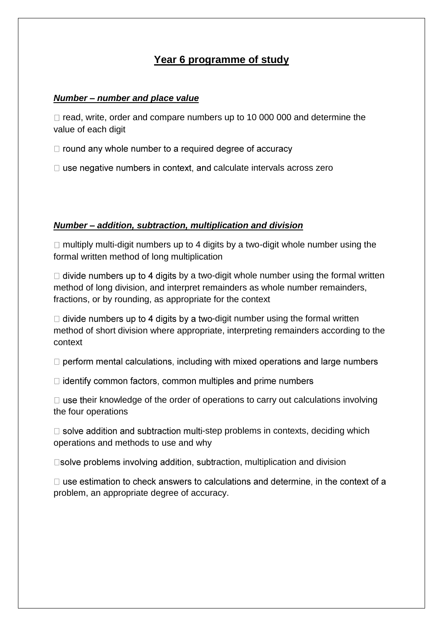# **Year 6 programme of study**

#### *Number – number and place value*

 $\Box$  read, write, order and compare numbers up to 10 000 000 and determine the value of each digit

- $\Box$  round any whole number to a required degree of accuracy
- $\Box$  use negative numbers in context, and calculate intervals across zero

#### *Number – addition, subtraction, multiplication and division*

 $\Box$  multiply multi-digit numbers up to 4 digits by a two-digit whole number using the formal written method of long multiplication

 $\Box$  divide numbers up to 4 digits by a two-digit whole number using the formal written method of long division, and interpret remainders as whole number remainders, fractions, or by rounding, as appropriate for the context

 $\Box$  divide numbers up to 4 digits by a two-digit number using the formal written method of short division where appropriate, interpreting remainders according to the context

 $\Box$  perform mental calculations, including with mixed operations and large numbers

 $\Box$  identify common factors, common multiples and prime numbers

 $\Box$  use their knowledge of the order of operations to carry out calculations involving the four operations

 $\Box$  solve addition and subtraction multi-step problems in contexts, deciding which operations and methods to use and why

 $\square$ solve problems involving addition, subtraction, multiplication and division

 $\Box$  use estimation to check answers to calculations and determine, in the context of a problem, an appropriate degree of accuracy.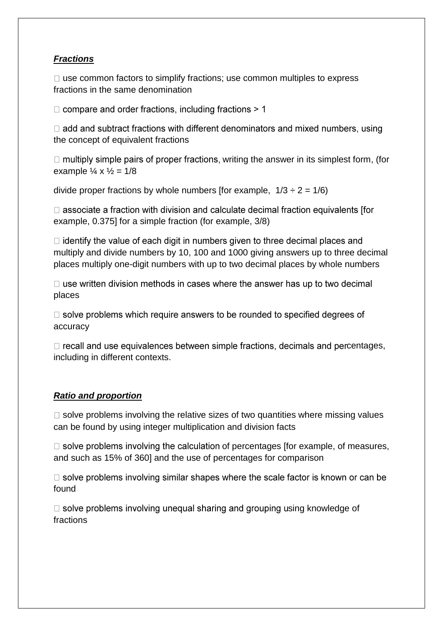# *Fractions*

 $\Box$  use common factors to simplify fractions; use common multiples to express fractions in the same denomination

 $\Box$  compare and order fractions, including fractions  $> 1$ 

□ add and subtract fractions with different denominators and mixed numbers, using the concept of equivalent fractions

 $\Box$  multiply simple pairs of proper fractions, writing the answer in its simplest form, (for example  $\frac{1}{4} \times \frac{1}{2} = 1/8$ 

divide proper fractions by whole numbers [for example,  $1/3 \div 2 = 1/6$ )

□ associate a fraction with division and calculate decimal fraction equivalents [for example, 0.375] for a simple fraction (for example, 3/8)

 $\Box$  identify the value of each digit in numbers given to three decimal places and multiply and divide numbers by 10, 100 and 1000 giving answers up to three decimal places multiply one-digit numbers with up to two decimal places by whole numbers

 $\Box$  use written division methods in cases where the answer has up to two decimal places

 $\Box$  solve problems which require answers to be rounded to specified degrees of accuracy

 $\Box$  recall and use equivalences between simple fractions, decimals and percentages, including in different contexts.

# *Ratio and proportion*

 $\Box$  solve problems involving the relative sizes of two quantities where missing values can be found by using integer multiplication and division facts

 $\Box$  solve problems involving the calculation of percentages [for example, of measures, and such as 15% of 360] and the use of percentages for comparison

 $\Box$  solve problems involving similar shapes where the scale factor is known or can be found

 $\Box$  solve problems involving unequal sharing and grouping using knowledge of fractions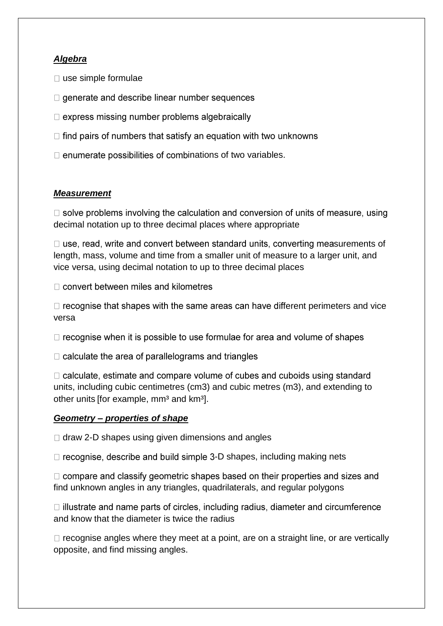### *Algebra*

- $\square$  use simple formulae
- $\Box$  generate and describe linear number sequences
- □ express missing number problems algebraically
- $\Box$  find pairs of numbers that satisfy an equation with two unknowns
- $\Box$  enumerate possibilities of combinations of two variables.

### *Measurement*

 $\Box$  solve problems involving the calculation and conversion of units of measure, using decimal notation up to three decimal places where appropriate

 $\Box$  use, read, write and convert between standard units, converting measurements of length, mass, volume and time from a smaller unit of measure to a larger unit, and vice versa, using decimal notation to up to three decimal places

 $\Box$  convert between miles and kilometres

 $\Box$  recognise that shapes with the same areas can have different perimeters and vice versa

 $\Box$  recognise when it is possible to use formulae for area and volume of shapes

 $\Box$  calculate the area of parallelograms and triangles

 $\Box$  calculate, estimate and compare volume of cubes and cuboids using standard units, including cubic centimetres (cm3) and cubic metres (m3), and extending to other units [for example,  $mm<sup>3</sup>$  and  $km<sup>3</sup>$ ].

#### *Geometry – properties of shape*

 $\Box$  draw 2-D shapes using given dimensions and angles

 $\Box$  recognise, describe and build simple 3-D shapes, including making nets

 $\Box$  compare and classify geometric shapes based on their properties and sizes and find unknown angles in any triangles, quadrilaterals, and regular polygons

 $\Box$  illustrate and name parts of circles, including radius, diameter and circumference and know that the diameter is twice the radius

 $\Box$  recognise angles where they meet at a point, are on a straight line, or are vertically opposite, and find missing angles.